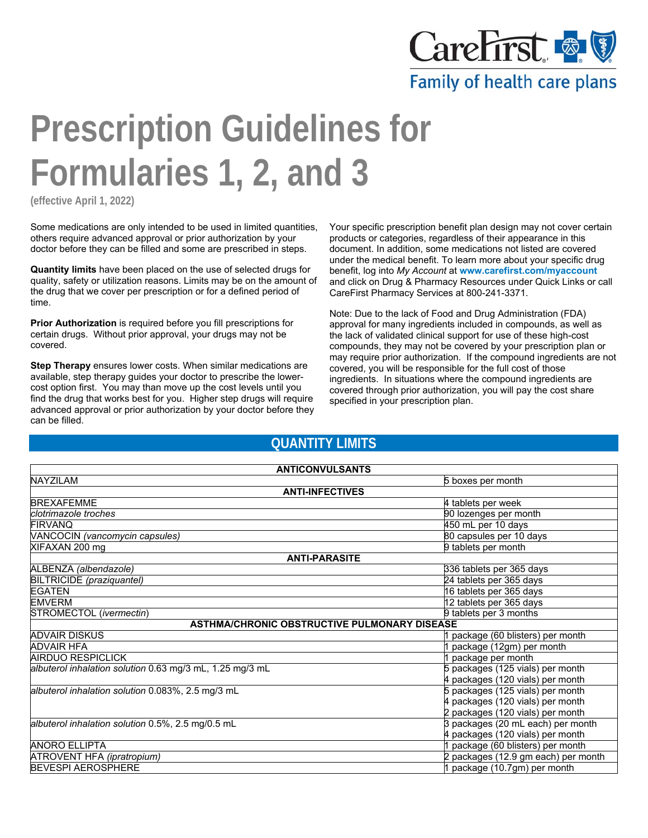

Family of health care plans

# **Prescription Guidelines for Formularies 1, 2, and 3**

**(effective April 1, 2022)**

Some medications are only intended to be used in limited quantities, others require advanced approval or prior authorization by your doctor before they can be filled and some are prescribed in steps.

**Quantity limits** have been placed on the use of selected drugs for quality, safety or utilization reasons. Limits may be on the amount of the drug that we cover per prescription or for a defined period of time.

**Prior Authorization** is required before you fill prescriptions for certain drugs. Without prior approval, your drugs may not be covered.

**Step Therapy** ensures lower costs. When similar medications are available, step therapy guides your doctor to prescribe the lowercost option first. You may than move up the cost levels until you find the drug that works best for you. Higher step drugs will require advanced approval or prior authorization by your doctor before they can be filled.

Your specific prescription benefit plan design may not cover certain products or categories, regardless of their appearance in this document. In addition, some medications not listed are covered under the medical benefit. To learn more about your specific drug benefit, log into *My Account* at **www.carefirst.com/myaccount** and click on Drug & Pharmacy Resources under Quick Links or call CareFirst Pharmacy Services at 800-241-3371.

Note: Due to the lack of Food and Drug Administration (FDA) approval for many ingredients included in compounds, as well as the lack of validated clinical support for use of these high-cost compounds, they may not be covered by your prescription plan or may require prior authorization. If the compound ingredients are not covered, you will be responsible for the full cost of those ingredients. In situations where the compound ingredients are covered through prior authorization, you will pay the cost share specified in your prescription plan.

### **QUANTITY LIMITS**

| <b>ANTICONVULSANTS</b>                                                                       |                                     |  |  |
|----------------------------------------------------------------------------------------------|-------------------------------------|--|--|
| <b>NAYZILAM</b><br>5 boxes per month                                                         |                                     |  |  |
| <b>ANTI-INFECTIVES</b>                                                                       |                                     |  |  |
| <b>BREXAFEMME</b>                                                                            | 4 tablets per week                  |  |  |
| clotrimazole troches                                                                         | 90 lozenges per month               |  |  |
| <b>FIRVANO</b>                                                                               | 450 mL per 10 days                  |  |  |
| 80 capsules per 10 days<br>VANCOCIN (vancomycin capsules)                                    |                                     |  |  |
| XIFAXAN 200 mg                                                                               | 9 tablets per month                 |  |  |
| <b>ANTI-PARASITE</b>                                                                         |                                     |  |  |
| ALBENZA (albendazole)                                                                        | 336 tablets per 365 days            |  |  |
| BILTRICIDE (praziquantel)                                                                    | 24 tablets per 365 days             |  |  |
| <b>EGATEN</b>                                                                                | 16 tablets per 365 days             |  |  |
| <b>EMVERM</b>                                                                                | 12 tablets per 365 days             |  |  |
| STROMECTOL (ivermectin)<br>9 tablets per 3 months                                            |                                     |  |  |
| <b>ASTHMA/CHRONIC OBSTRUCTIVE PULMONARY DISEASE</b>                                          |                                     |  |  |
| <b>ADVAIR DISKUS</b>                                                                         | package (60 blisters) per month     |  |  |
| <b>ADVAIR HFA</b>                                                                            | package (12gm) per month            |  |  |
| <b>AIRDUO RESPICLICK</b>                                                                     | package per month                   |  |  |
| albuterol inhalation solution 0.63 mg/3 mL, 1.25 mg/3 mL<br>5 packages (125 vials) per month |                                     |  |  |
|                                                                                              | 4 packages (120 vials) per month    |  |  |
| albuterol inhalation solution 0.083%, 2.5 mg/3 mL                                            | 5 packages (125 vials) per month    |  |  |
|                                                                                              | 4 packages (120 vials) per month    |  |  |
|                                                                                              | 2 packages (120 vials) per month    |  |  |
| albuterol inhalation solution 0.5%, 2.5 mg/0.5 mL                                            | 3 packages (20 mL each) per month   |  |  |
|                                                                                              | 4 packages (120 vials) per month    |  |  |
| <b>ANORO ELLIPTA</b>                                                                         | package (60 blisters) per month     |  |  |
| ATROVENT HFA (ipratropium)                                                                   | 2 packages (12.9 gm each) per month |  |  |
| <b>BEVESPI AEROSPHERE</b>                                                                    | 1 package (10.7gm) per month        |  |  |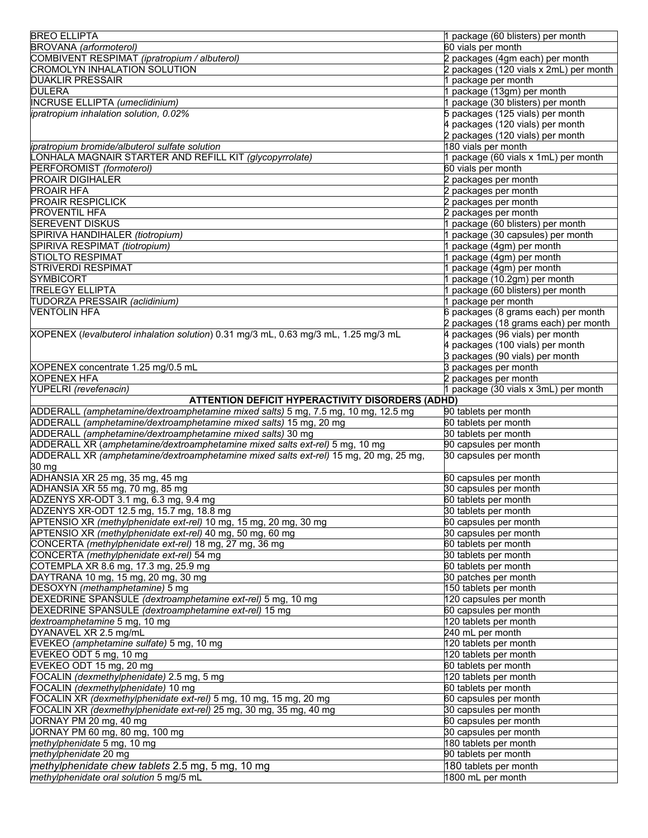| <b>BREO ELLIPTA</b>                                                                         | 1 package (60 blisters) per month             |
|---------------------------------------------------------------------------------------------|-----------------------------------------------|
| BROVANA (arformoterol)                                                                      | 60 vials per month                            |
| COMBIVENT RESPIMAT (ipratropium / albuterol)                                                | 2 packages (4gm each) per month               |
| CROMOLYN INHALATION SOLUTION                                                                | 2 packages (120 vials x 2mL) per month        |
| <b>DUAKLIR PRESSAIR</b>                                                                     | 1 package per month                           |
| <b>DULERA</b>                                                                               | 1 package (13gm) per month                    |
| <b>INCRUSE ELLIPTA (umeclidinium)</b>                                                       | 1 package (30 blisters) per month             |
| ipratropium inhalation solution, 0.02%                                                      | 5 packages (125 vials) per month              |
|                                                                                             | 4 packages (120 vials) per month              |
|                                                                                             | 2 packages (120 vials) per month              |
| ipratropium bromide/albuterol sulfate solution                                              | 180 vials per month                           |
| LONHALA MAGNAIR STARTER AND REFILL KIT (glycopyrrolate)                                     | 1 package (60 vials x 1mL) per month          |
| PERFOROMIST (formoterol)                                                                    | 60 vials per month                            |
| <b>PROAIR DIGIHALER</b>                                                                     | 2 packages per month                          |
| <b>PROAIR HFA</b>                                                                           | 2 packages per month                          |
| <b>PROAIR RESPICLICK</b>                                                                    | 2 packages per month                          |
| <b>PROVENTIL HFA</b>                                                                        | 2 packages per month                          |
| <b>SEREVENT DISKUS</b>                                                                      | 1 package (60 blisters) per month             |
| SPIRIVA HANDIHALER (tiotropium)                                                             | 1 package (30 capsules) per month             |
| SPIRIVA RESPIMAT (tiotropium)                                                               | 1 package (4gm) per month                     |
| <b>STIOLTO RESPIMAT</b>                                                                     | 1 package (4gm) per month                     |
| <b>STRIVERDI RESPIMAT</b>                                                                   | 1 package (4gm) per month                     |
| <b>SYMBICORT</b>                                                                            | 1 package (10.2gm) per month                  |
| <b>TRELEGY ELLIPTA</b>                                                                      | 1 package (60 blisters) per month             |
| TUDORZA PRESSAIR (aclidinium)                                                               | 1 package per month                           |
| <b>VENTOLIN HFA</b>                                                                         | 6 packages (8 grams each) per month           |
|                                                                                             | 2 packages (18 grams each) per month          |
| XOPENEX (levalbuterol inhalation solution) 0.31 mg/3 mL, 0.63 mg/3 mL, 1.25 mg/3 mL         | 4 packages (96 vials) per month               |
|                                                                                             | 4 packages (100 vials) per month              |
|                                                                                             | 3 packages (90 vials) per month               |
| XOPENEX concentrate 1.25 mg/0.5 mL                                                          | 3 packages per month                          |
| <b>XOPENEX HFA</b>                                                                          | 2 packages per month                          |
| YUPELRI (revefenacin)                                                                       | 1 package (30 vials x 3mL) per month          |
| <b>ATTENTION DEFICIT HYPERACTIVITY DISORDERS (ADHD)</b>                                     |                                               |
| ADDERALL (amphetamine/dextroamphetamine mixed salts) 5 mg, 7.5 mg, 10 mg, 12.5 mg           | 90 tablets per month                          |
| ADDERALL (amphetamine/dextroamphetamine mixed salts) 15 mg, 20 mg                           | 60 tablets per month                          |
| ADDERALL (amphetamine/dextroamphetamine mixed salts) 30 mg                                  | 30 tablets per month                          |
| ADDERALL XR (amphetamine/dextroamphetamine mixed salts ext-rel) 5 mg, 10 mg                 | 90 capsules per month                         |
| ADDERALL XR (amphetamine/dextroamphetamine mixed salts ext-rel) 15 mg, 20 mg, 25 mg,        | 30 capsules per month                         |
| 30 mg                                                                                       |                                               |
| ADHANSIA XR 25 mg, 35 mg, 45 mg                                                             | 60 capsules per month                         |
| ADHANSIA XR 55 mg, 70 mg, 85 mg                                                             | 30 capsules per month                         |
| ADZENYS XR-ODT 3.1 mg, 6.3 mg, 9.4 mg                                                       | 60 tablets per month                          |
| ADZENYS XR-ODT 12.5 mg, 15.7 mg, 18.8 mg                                                    | 30 tablets per month                          |
| APTENSIO XR (methylphenidate ext-rel) 10 mg, 15 mg, 20 mg, 30 mg                            |                                               |
| APTENSIO XR (methylphenidate ext-rel) 40 mg, 50 mg, 60 mg                                   |                                               |
|                                                                                             | 60 capsules per month                         |
|                                                                                             | 30 capsules per month                         |
| CONCERTA (methylphenidate ext-rel) 18 mg, 27 mg, 36 mg                                      | 60 tablets per month                          |
| CONCERTA (methylphenidate ext-rel) 54 mg                                                    | 30 tablets per month                          |
| COTEMPLA XR 8.6 mg, 17.3 mg, 25.9 mg                                                        | 60 tablets per month                          |
| DAYTRANA 10 mg, 15 mg, 20 mg, 30 mg                                                         | 30 patches per month                          |
| DESOXYN (methamphetamine) 5 mg                                                              | 150 tablets per month                         |
| DEXEDRINE SPANSULE (dextroamphetamine ext-rel) 5 mg, 10 mg                                  | 120 capsules per month                        |
| DEXEDRINE SPANSULE (dextroamphetamine ext-rel) 15 mg                                        | 60 capsules per month                         |
| dextroamphetamine 5 mg, 10 mg                                                               | 120 tablets per month                         |
| DYANAVEL XR 2.5 mg/mL                                                                       | 240 mL per month                              |
| EVEKEO (amphetamine sulfate) 5 mg, 10 mg                                                    | 120 tablets per month                         |
| EVEKEO ODT 5 mg, 10 mg                                                                      | 120 tablets per month                         |
| EVEKEO ODT 15 mg, 20 mg                                                                     | 60 tablets per month                          |
| FOCALIN (dexmethylphenidate) 2.5 mg, 5 mg                                                   | 120 tablets per month                         |
| FOCALIN (dexmethylphenidate) 10 mg                                                          | 60 tablets per month                          |
| FOCALIN XR (dexmethylphenidate ext-rel) 5 mg, 10 mg, 15 mg, 20 mg                           | 60 capsules per month                         |
| FOCALIN XR (dexmethylphenidate ext-rel) 25 mg, 30 mg, 35 mg, 40 mg                          | 30 capsules per month                         |
| JORNAY PM 20 mg, 40 mg                                                                      | 60 capsules per month                         |
| JORNAY PM 60 mg, 80 mg, 100 mg                                                              | 30 capsules per month                         |
| methylphenidate 5 mg, 10 mg<br>methylphenidate 20 mg                                        | 180 tablets per month<br>90 tablets per month |
|                                                                                             |                                               |
| methylphenidate chew tablets 2.5 mg, 5 mg, 10 mg<br>methylphenidate oral solution 5 mg/5 mL | 180 tablets per month<br>1800 mL per month    |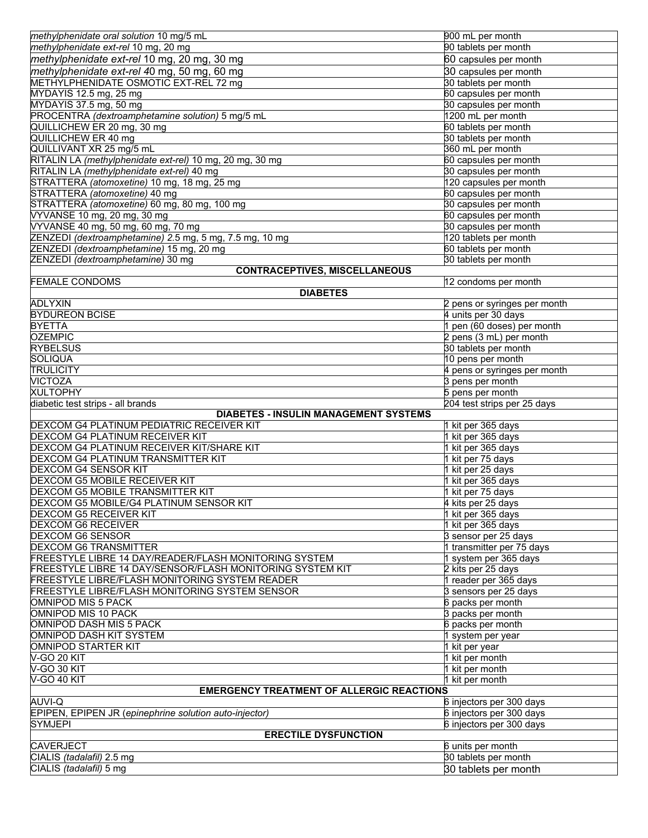| methylphenidate oral solution 10 mg/5 mL                   | 900 mL per month                                |
|------------------------------------------------------------|-------------------------------------------------|
| methylphenidate ext-rel 10 mg, 20 mg                       | 90 tablets per month                            |
| methylphenidate ext-rel 10 mg, 20 mg, 30 mg                | 60 capsules per month                           |
| methylphenidate ext-rel 40 mg, 50 mg, 60 mg                | 30 capsules per month                           |
| METHYLPHENIDATE OSMOTIC EXT-REL 72 mg                      | 30 tablets per month                            |
| MYDAYIS 12.5 mg, 25 mg                                     | 60 capsules per month                           |
| MYDAYIS 37.5 mg, 50 mg                                     | 30 capsules per month                           |
| PROCENTRA (dextroamphetamine solution) 5 mg/5 mL           | 1200 mL per month                               |
| QUILLICHEW ER 20 mg, 30 mg                                 | 60 tablets per month                            |
| QUILLICHEW ER 40 mg                                        | 30 tablets per month                            |
| QUILLIVANT XR 25 mg/5 mL                                   | 360 mL per month                                |
| RITALIN LA (methylphenidate ext-rel) 10 mg, 20 mg, 30 mg   | 60 capsules per month                           |
| RITALIN LA (methylphenidate ext-rel) 40 mg                 | 30 capsules per month                           |
| STRATTERA (atomoxetine) 10 mg, 18 mg, 25 mg                | 120 capsules per month                          |
| STRATTERA (atomoxetine) 40 mg                              | 60 capsules per month                           |
| STRATTERA (atomoxetine) 60 mg, 80 mg, 100 mg               | 30 capsules per month                           |
| VYVANSE 10 mg, 20 mg, 30 mg                                | 60 capsules per month                           |
| VYVANSE 40 mg, 50 mg, 60 mg, 70 mg                         | 30 capsules per month                           |
| ZENZEDI (dextroamphetamine) 2.5 mg, 5 mg, 7.5 mg, 10 mg    | 120 tablets per month                           |
| ZENZEDI (dextroamphetamine) 15 mg, 20 mg                   | 60 tablets per month                            |
| ZENZEDI (dextroamphetamine) 30 mg                          | 30 tablets per month                            |
| <b>CONTRACEPTIVES, MISCELLANEOUS</b>                       |                                                 |
| <b>FEMALE CONDOMS</b>                                      | 12 condoms per month                            |
| <b>DIABETES</b>                                            |                                                 |
| <b>ADLYXIN</b>                                             | 2 pens or syringes per month                    |
| <b>BYDUREON BCISE</b>                                      | 4 units per 30 days                             |
| <b>BYETTA</b>                                              | 1 pen (60 doses) per month                      |
| <b>OZEMPIC</b>                                             | 2 pens (3 mL) per month                         |
| <b>RYBELSUS</b>                                            | 30 tablets per month                            |
| SOLIQUA                                                    | 10 pens per month                               |
| TRULICITY                                                  | 4 pens or syringes per month                    |
| <b>VICTOZA</b><br><b>XULTOPHY</b>                          | 3 pens per month                                |
| diabetic test strips - all brands                          | 5 pens per month<br>204 test strips per 25 days |
| <b>DIABETES - INSULIN MANAGEMENT SYSTEMS</b>               |                                                 |
| DEXCOM G4 PLATINUM PEDIATRIC RECEIVER KIT                  | 1 kit per 365 days                              |
| DEXCOM G4 PLATINUM RECEIVER KIT                            | 1 kit per 365 days                              |
| DEXCOM G4 PLATINUM RECEIVER KIT/SHARE KIT                  | 1 kit per 365 days                              |
| DEXCOM G4 PLATINUM TRANSMITTER KIT                         | 1 kit per 75 days                               |
| DEXCOM G4 SENSOR KIT                                       | 1 kit per 25 days                               |
| DEXCOM G5 MOBILE RECEIVER KIT                              | 1 kit per 365 days                              |
| DEXCOM G5 MOBILE TRANSMITTER KIT                           | 1 kit per 75 days                               |
| DEXCOM G5 MOBILE/G4 PLATINUM SENSOR KIT                    |                                                 |
| <b>DEXCOM G5 RECEIVER KIT</b>                              |                                                 |
|                                                            | 4 kits per 25 days                              |
|                                                            | 1 kit per 365 days                              |
| <b>DEXCOM G6 RECEIVER</b>                                  | 1 kit per 365 days                              |
| <b>DEXCOM G6 SENSOR</b>                                    | 3 sensor per 25 days                            |
| <b>DEXCOM G6 TRANSMITTER</b>                               | 1 transmitter per 75 days                       |
| FREESTYLE LIBRE 14 DAY/READER/FLASH MONITORING SYSTEM      | 1 system per 365 days                           |
| FREESTYLE LIBRE 14 DAY/SENSOR/FLASH MONITORING SYSTEM KIT  | 2 kits per 25 days                              |
| FREESTYLE LIBRE/FLASH MONITORING SYSTEM READER             | 1 reader per 365 days                           |
| FREESTYLE LIBRE/FLASH MONITORING SYSTEM SENSOR             | 3 sensors per 25 days                           |
| <b>OMNIPOD MIS 5 PACK</b>                                  | 6 packs per month                               |
| OMNIPOD MIS 10 PACK                                        | 3 packs per month                               |
| OMNIPOD DASH MIS 5 PACK                                    | 6 packs per month                               |
| OMNIPOD DASH KIT SYSTEM                                    | 1 system per year                               |
| <b>OMNIPOD STARTER KIT</b><br>V-GO 20 KIT                  | 1 kit per year                                  |
| V-GO 30 KIT                                                | 1 kit per month                                 |
|                                                            | 1 kit per month                                 |
| V-GO 40 KIT                                                | 1 kit per month                                 |
| <b>EMERGENCY TREATMENT OF ALLERGIC REACTIONS</b><br>AUVI-Q | 6 injectors per 300 days                        |
| EPIPEN, EPIPEN JR (epinephrine solution auto-injector)     | 6 injectors per 300 days                        |
| <b>SYMJEPI</b>                                             | 6 injectors per 300 days                        |
| <b>ERECTILE DYSFUNCTION</b>                                |                                                 |
| <b>CAVERJECT</b>                                           | 6 units per month                               |
| CIALIS (tadalafil) 2.5 mg<br>CIALIS (tadalafil) 5 mg       | 30 tablets per month<br>30 tablets per month    |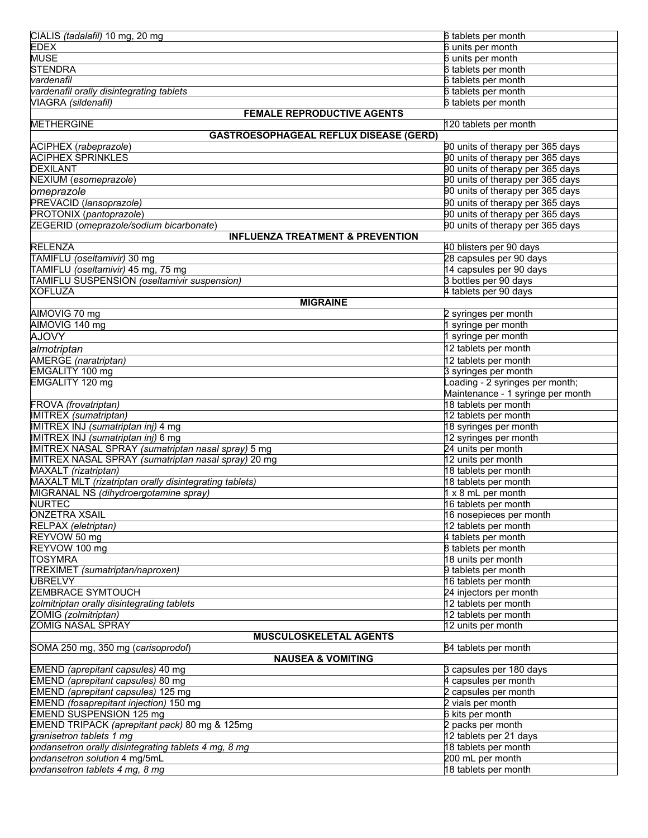| CIALIS (tadalafil) 10 mg, 20 mg                                             | 6 tablets per month                             |  |
|-----------------------------------------------------------------------------|-------------------------------------------------|--|
| <b>EDEX</b>                                                                 | 6 units per month                               |  |
| <b>MUSE</b>                                                                 | 6 units per month                               |  |
| <b>STENDRA</b>                                                              | 6 tablets per month                             |  |
| vardenafil                                                                  | 6 tablets per month                             |  |
| vardenafil orally disintegrating tablets                                    | 6 tablets per month                             |  |
| VIAGRA (sildenafil)                                                         | 6 tablets per month                             |  |
| <b>FEMALE REPRODUCTIVE AGENTS</b>                                           |                                                 |  |
| <b>METHERGINE</b>                                                           | 120 tablets per month                           |  |
| <b>GASTROESOPHAGEAL REFLUX DISEASE (GERD)</b>                               | 90 units of therapy per 365 days                |  |
| ACIPHEX (rabeprazole)<br><b>ACIPHEX SPRINKLES</b>                           | 90 units of therapy per 365 days                |  |
| <b>DEXILANT</b>                                                             | 90 units of therapy per 365 days                |  |
| NEXIUM (esomeprazole)                                                       | 90 units of therapy per 365 days                |  |
| omeprazole                                                                  | 90 units of therapy per 365 days                |  |
| PREVACID (lansoprazole)                                                     | 90 units of therapy per 365 days                |  |
| PROTONIX (pantoprazole)                                                     | 90 units of therapy per 365 days                |  |
| ZEGERID (omeprazole/sodium bicarbonate)                                     | 90 units of therapy per 365 days                |  |
| <b>INFLUENZA TREATMENT &amp; PREVENTION</b>                                 |                                                 |  |
| <b>RELENZA</b>                                                              | 40 blisters per 90 days                         |  |
| TAMIFLU (oseltamivir) 30 mg                                                 | 28 capsules per 90 days                         |  |
| TAMIFLU (oseltamivir) 45 mg, 75 mg                                          | 14 capsules per 90 days                         |  |
| TAMIFLU SUSPENSION (oseltamivir suspension)                                 | 3 bottles per 90 days                           |  |
| <b>XOFLUZA</b>                                                              | 4 tablets per 90 days                           |  |
| <b>MIGRAINE</b>                                                             |                                                 |  |
| AIMOVIG 70 mg                                                               | 2 syringes per month                            |  |
| AIMOVIG 140 mg                                                              | 1 syringe per month                             |  |
| <b>AJOVY</b>                                                                | 1 syringe per month                             |  |
| almotriptan                                                                 | 12 tablets per month                            |  |
| AMERGE (naratriptan)                                                        | 12 tablets per month                            |  |
| EMGALITY 100 mg                                                             | 3 syringes per month                            |  |
| EMGALITY 120 mg                                                             | Loading - 2 syringes per month;                 |  |
|                                                                             | Maintenance - 1 syringe per month               |  |
| FROVA (frovatriptan)                                                        | 18 tablets per month                            |  |
| IMITREX (sumatriptan)                                                       | 12 tablets per month                            |  |
| IMITREX INJ (sumatriptan inj) 4 mg                                          | 18 syringes per month                           |  |
| IMITREX INJ (sumatriptan inj) 6 mg                                          | 12 syringes per month                           |  |
| IMITREX NASAL SPRAY (sumatriptan nasal spray) 5 mg                          | 24 units per month                              |  |
| IMITREX NASAL SPRAY (sumatriptan nasal spray) 20 mg<br>MAXALT (rizatriptan) | 12 units per month                              |  |
| MAXALT MLT (rizatriptan orally disintegrating tablets)                      | 18 tablets per month<br>18 tablets per month    |  |
| MIGRANAL NS (dihydroergotamine spray)                                       | 1 x 8 mL per month                              |  |
| <b>NURTEC</b>                                                               | 16 tablets per month                            |  |
| <b>ONZETRA XSAIL</b>                                                        | 16 nosepieces per month                         |  |
| RELPAX (eletriptan)                                                         | 12 tablets per month                            |  |
| REYVOW 50 mg                                                                | 4 tablets per month                             |  |
| REYVOW 100 mg                                                               | 8 tablets per month                             |  |
| <b>TOSYMRA</b>                                                              | 18 units per month                              |  |
| TREXIMET (sumatriptan/naproxen)                                             | 9 tablets per month                             |  |
| <b>UBRELVY</b>                                                              | 16 tablets per month                            |  |
| <b>ZEMBRACE SYMTOUCH</b>                                                    | 24 injectors per month                          |  |
| zolmitriptan orally disintegrating tablets                                  | 12 tablets per month                            |  |
| ZOMIG (zolmitriptan)                                                        | 12 tablets per month                            |  |
| ZOMIG NASAL SPRAY                                                           | 12 units per month                              |  |
| MUSCULOSKELETAL AGENTS                                                      |                                                 |  |
| SOMA 250 mg, 350 mg (carisoprodol)                                          | 84 tablets per month                            |  |
| <b>NAUSEA &amp; VOMITING</b>                                                |                                                 |  |
| EMEND (aprepitant capsules) 40 mg                                           | 3 capsules per 180 days<br>4 capsules per month |  |
| EMEND (aprepitant capsules) 80 mg<br>EMEND (aprepitant capsules) 125 mg     | 2 capsules per month                            |  |
| EMEND (fosaprepitant injection) 150 mg                                      | 2 vials per month                               |  |
| EMEND SUSPENSION 125 mg                                                     | 6 kits per month                                |  |
| EMEND TRIPACK (aprepitant pack) 80 mg & 125mg                               | 2 packs per month                               |  |
| granisetron tablets 1 mg                                                    | 12 tablets per 21 days                          |  |
| ondansetron orally disintegrating tablets 4 mg, 8 mg                        | 18 tablets per month                            |  |
| ondansetron solution 4 mg/5mL                                               | 200 mL per month                                |  |
| ondansetron tablets 4 mg, 8 mg                                              | 18 tablets per month                            |  |
|                                                                             |                                                 |  |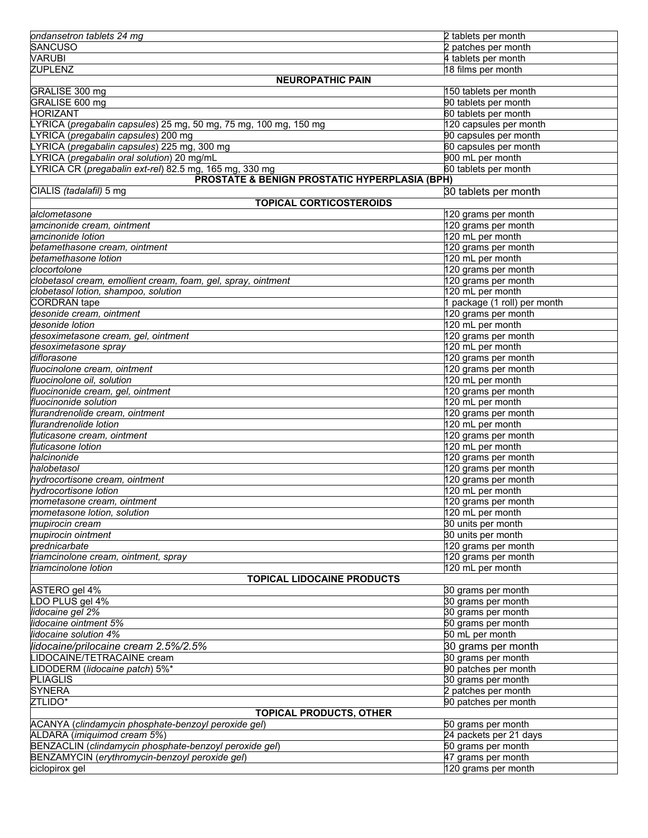| ondansetron tablets 24 mg                                        | 2 tablets per month              |
|------------------------------------------------------------------|----------------------------------|
| <b>SANCUSO</b>                                                   | 2 patches per month              |
| <b>VARUBI</b>                                                    | 4 tablets per month              |
| <b>ZUPLENZ</b>                                                   | 18 films per month               |
| <b>NEUROPATHIC PAIN</b>                                          |                                  |
| GRALISE 300 mg                                                   | 150 tablets per month            |
| GRALISE 600 mg                                                   | 90 tablets per month             |
| <b>HORIZANT</b>                                                  | 60 tablets per month             |
| LYRICA (pregabalin capsules) 25 mg, 50 mg, 75 mg, 100 mg, 150 mg | 120 capsules per month           |
| LYRICA (pregabalin capsules) 200 mg                              | 90 capsules per month            |
| LYRICA (pregabalin capsules) 225 mg, 300 mg                      | 60 capsules per month            |
| LYRICA (pregabalin oral solution) 20 mg/mL                       | 900 mL per month                 |
|                                                                  | 60 tablets per month             |
| LYRICA CR (pregabalin ext-rel) 82.5 mg, 165 mg, 330 mg           |                                  |
| PROSTATE & BENIGN PROSTATIC HYPERPLASIA (BPH)                    |                                  |
| CIALIS (tadalafil) 5 mg                                          | 30 tablets per month             |
| <b>TOPICAL CORTICOSTEROIDS</b>                                   |                                  |
| lalclometasone                                                   | 120 grams per month              |
| amcinonide cream, ointment                                       | 120 grams per month              |
| amcinonide lotion                                                | 120 mL per month                 |
| betamethasone cream, ointment                                    | 120 grams per month              |
| betamethasone lotion                                             | 120 mL per month                 |
| clocortolone                                                     | 120 grams per month              |
| clobetasol cream, emollient cream, foam, gel, spray, ointment    | 120 grams per month              |
| clobetasol lotion, shampoo, solution                             | 120 mL per month                 |
| <b>CORDRAN</b> tape                                              | 1 package (1 roll) per month     |
| desonide cream, ointment                                         | 120 grams per month              |
| desonide lotion                                                  | 120 mL per month                 |
| desoximetasone cream, gel, ointment                              | 120 grams per month              |
| desoximetasone spray                                             | 120 mL per month                 |
| diflorasone                                                      | 120 grams per month              |
| fluocinolone cream, ointment                                     | 120 grams per month              |
| fluocinolone oil, solution                                       | 120 mL per month                 |
| fluocinonide cream, gel, ointment                                | $\overline{120}$ grams per month |
| fluocinonide solution                                            | 120 mL per month                 |
| flurandrenolide cream, ointment                                  | $\overline{120}$ grams per month |
| flurandrenolide lotion                                           | 120 mL per month                 |
| fluticasone cream, ointment                                      | 120 grams per month              |
| fluticasone lotion                                               | 120 mL per month                 |
| halcinonide                                                      | 120 grams per month              |
| halobetasol                                                      | 120 grams per month              |
| hydrocortisone cream, ointment                                   | 120 grams per month              |
| hydrocortisone lotion                                            | 120 mL per month                 |
| mometasone cream, ointment                                       | 120 grams per month              |
| mometasone lotion, solution                                      | 120 mL per month                 |
| mupirocin cream                                                  | 30 units per month               |
| mupirocin ointment                                               | 30 units per month               |
| prednicarbate                                                    | 120 grams per month              |
| triamcinolone cream, ointment, spray                             | 120 grams per month              |
| triamcinolone lotion                                             | 120 mL per month                 |
| <b>TOPICAL LIDOCAINE PRODUCTS</b>                                |                                  |
| ASTERO gel 4%                                                    | 30 grams per month               |
| LDO PLUS gel 4%                                                  | 30 grams per month               |
| lidocaine gel 2%                                                 | 30 grams per month               |
| lidocaine ointment 5%                                            | 50 grams per month               |
| lidocaine solution 4%                                            | 50 mL per month                  |
|                                                                  |                                  |
| lidocaine/prilocaine cream 2.5%/2.5%                             | 30 grams per month               |
| LIDOCAINE/TETRACAINE cream                                       | 30 grams per month               |
| LIDODERM (lidocaine patch) 5%*                                   | 90 patches per month             |
| <b>PLIAGLIS</b>                                                  | 30 grams per month               |
| <b>SYNERA</b>                                                    | 2 patches per month              |
| ZTLIDO*                                                          | 90 patches per month             |
| <b>TOPICAL PRODUCTS, OTHER</b>                                   |                                  |
| ACANYA (clindamycin phosphate-benzoyl peroxide gel)              | 50 grams per month               |
| ALDARA (imiquimod cream 5%)                                      | 24 packets per 21 days           |
| BENZACLIN (clindamycin phosphate-benzoyl peroxide gel)           | 50 grams per month               |
| BENZAMYCIN (erythromycin-benzoyl peroxide gel)                   | 47 grams per month               |
| ciclopirox gel                                                   | 120 grams per month              |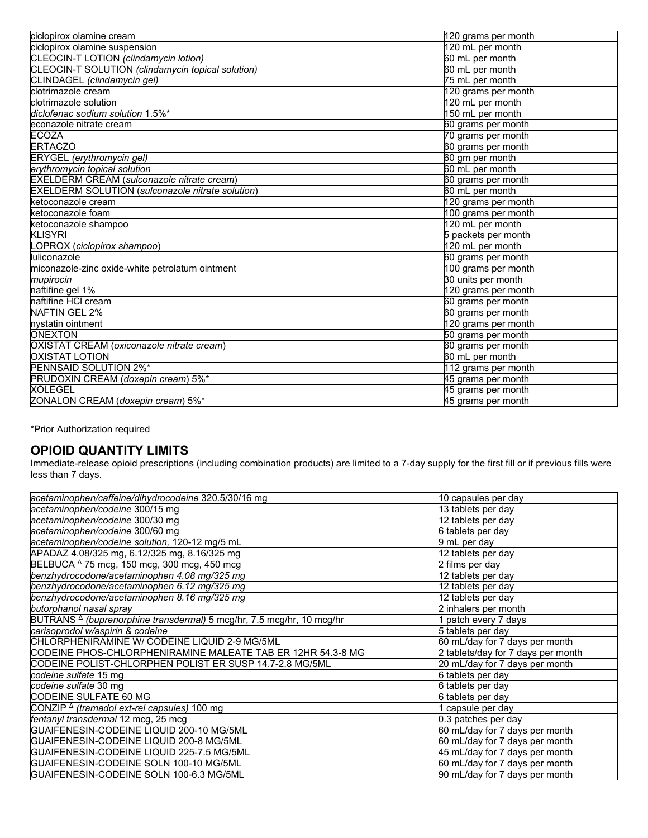| ciclopirox olamine cream                          | 120 grams per month             |
|---------------------------------------------------|---------------------------------|
| ciclopirox olamine suspension                     | 120 mL per month                |
| CLEOCIN-T LOTION (clindamycin lotion)             | 60 mL per month                 |
| CLEOCIN-T SOLUTION (clindamycin topical solution) | 60 mL per month                 |
| CLINDAGEL (clindamycin gel)                       | 75 mL per month                 |
| clotrimazole cream                                | 120 grams per month             |
| clotrimazole solution                             | 120 mL per month                |
| diclofenac sodium solution 1.5%*                  | 150 mL per month                |
| econazole nitrate cream                           | 60 grams per month              |
| <b>ECOZA</b>                                      | 70 grams per month              |
| <b>ERTACZO</b>                                    | 60 grams per month              |
| ERYGEL (erythromycin gel)                         | 60 gm per month                 |
| erythromycin topical solution                     | 60 mL per month                 |
| EXELDERM CREAM (sulconazole nitrate cream)        | 60 grams per month              |
| EXELDERM SOLUTION (sulconazole nitrate solution)  | 60 mL per month                 |
| ketoconazole cream                                | 120 grams per month             |
| ketoconazole foam                                 | 100 grams per month             |
| ketoconazole shampoo                              | 120 mL per month                |
| <b>KLISYRI</b>                                    | 5 packets per month             |
| OPROX (ciclopirox shampoo)                        | 120 mL per month                |
| luliconazole                                      | 60 grams per month              |
| miconazole-zinc oxide-white petrolatum ointment   | 100 grams per month             |
| mupirocin                                         | 30 units per month              |
| naftifine gel 1%                                  | 120 grams per month             |
| naftifine HCI cream                               | 60 grams per month              |
| NAFTIN GEL 2%                                     | 60 grams per month              |
| nystatin ointment                                 | 120 grams per month             |
| <b>ONEXTON</b>                                    | 50 grams per month              |
| OXISTAT CREAM (oxiconazole nitrate cream)         | $\overline{60}$ grams per month |
| <b>OXISTAT LOTION</b>                             | 60 mL per month                 |
| PENNSAID SOLUTION 2%*                             | 112 grams per month             |
| PRUDOXIN CREAM (doxepin cream) 5%*                | 45 grams per month              |
| <b>XOLEGEL</b>                                    | 45 grams per month              |
| ZONALON CREAM (doxepin cream) 5%*                 | 45 grams per month              |

\*Prior Authorization required

#### **OPIOID QUANTITY LIMITS**

Immediate-release opioid prescriptions (including combination products) are limited to a 7-day supply for the first fill or if previous fills were less than 7 days.

| acetaminophen/caffeine/dihydrocodeine 320.5/30/16 mg                             | 10 capsules per day                |
|----------------------------------------------------------------------------------|------------------------------------|
| acetaminophen/codeine 300/15 mg                                                  | 13 tablets per day                 |
| acetaminophen/codeine 300/30 mg                                                  | 12 tablets per day                 |
| acetaminophen/codeine 300/60 mg                                                  | 6 tablets per day                  |
| acetaminophen/codeine solution, 120-12 mg/5 mL                                   | 9 mL per day                       |
| APADAZ 4.08/325 mg, 6.12/325 mg, 8.16/325 mg                                     | 12 tablets per day                 |
| BELBUCA $\triangle$ 75 mcg, 150 mcg, 300 mcg, 450 mcg                            | 2 films per day                    |
| benzhydrocodone/acetaminophen 4.08 mg/325 mg                                     | 12 tablets per day                 |
| benzhydrocodone/acetaminophen 6.12 mg/325 mg                                     | 12 tablets per day                 |
| benzhydrocodone/acetaminophen 8.16 mg/325 mg                                     | 12 tablets per day                 |
| butorphanol nasal spray                                                          | 2 inhalers per month               |
| BUTRANS <sup>A</sup> (buprenorphine transdermal) 5 mcg/hr, 7.5 mcg/hr, 10 mcg/hr | 1 patch every 7 days               |
| carisoprodol w/aspirin & codeine                                                 | 5 tablets per day                  |
| CHLORPHENIRAMINE W/ CODEINE LIQUID 2-9 MG/5ML                                    | 60 mL/day for 7 days per month     |
| CODEINE PHOS-CHLORPHENIRAMINE MALEATE TAB ER 12HR 54.3-8 MG                      | 2 tablets/day for 7 days per month |
| CODEINE POLIST-CHLORPHEN POLIST ER SUSP 14.7-2.8 MG/5ML                          | 20 mL/day for 7 days per month     |
| codeine sulfate 15 mg                                                            | 6 tablets per day                  |
| codeine sulfate 30 mg                                                            | 6 tablets per day                  |
| CODEINE SULFATE 60 MG                                                            | 6 tablets per day                  |
| CONZIP <sup>∆</sup> (tramadol ext-rel capsules) 100 mg                           | 1 capsule per day                  |
| fentanyl transdermal 12 mcg, 25 mcg                                              | 0.3 patches per day                |
| GUAIFENESIN-CODEINE LIQUID 200-10 MG/5ML                                         | 60 mL/day for 7 days per month     |
| GUAIFENESIN-CODEINE LIQUID 200-8 MG/5ML                                          | 60 mL/day for 7 days per month     |
| GUAIFENESIN-CODEINE LIQUID 225-7.5 MG/5ML                                        | 45 mL/day for 7 days per month     |
| GUAIFENESIN-CODEINE SOLN 100-10 MG/5ML                                           | 60 mL/day for 7 days per month     |
| GUAIFENESIN-CODEINE SOLN 100-6.3 MG/5ML                                          | 90 mL/day for 7 days per month     |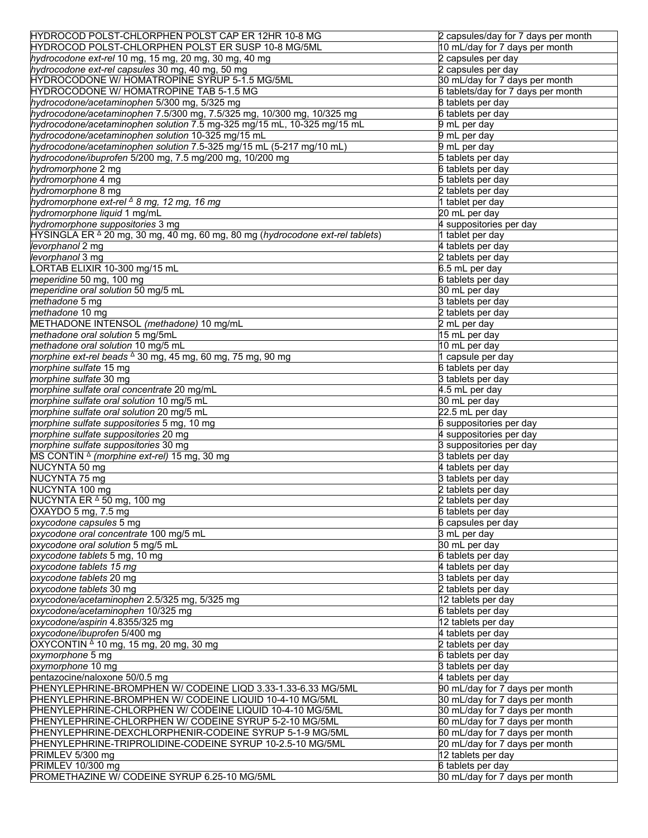| HYDROCOD POLST-CHLORPHEN POLST CAP ER 12HR 10-8 MG                                       | 2 capsules/day for 7 days per month |
|------------------------------------------------------------------------------------------|-------------------------------------|
| HYDROCOD POLST-CHLORPHEN POLST ER SUSP 10-8 MG/5ML                                       | 10 mL/day for 7 days per month      |
| hydrocodone ext-rel 10 mg, 15 mg, 20 mg, 30 mg, 40 mg                                    | 2 capsules per day                  |
| hydrocodone ext-rel capsules 30 mg, 40 mg, 50 mg                                         | 2 capsules per day                  |
| HYDROCODONE W/ HOMATROPINE SYRUP 5-1.5 MG/5ML                                            | 30 mL/day for 7 days per month      |
| HYDROCODONE W/ HOMATROPINE TAB 5-1.5 MG                                                  | 6 tablets/day for 7 days per month  |
| hydrocodone/acetaminophen 5/300 mg, 5/325 mg                                             | 8 tablets per day                   |
| hydrocodone/acetaminophen 7.5/300 mg, 7.5/325 mg, 10/300 mg, 10/325 mg                   | 6 tablets per day                   |
| hydrocodone/acetaminophen solution 7.5 mg-325 mg/15 mL, 10-325 mg/15 mL                  | 9 mL per day                        |
|                                                                                          |                                     |
| hydrocodone/acetaminophen solution 10-325 mg/15 mL                                       | 9 mL per day                        |
| hydrocodone/acetaminophen solution 7.5-325 mg/15 mL (5-217 mg/10 mL)                     | 9 mL per day                        |
| hydrocodone/ibuprofen 5/200 mg, 7.5 mg/200 mg, 10/200 mg                                 | 5 tablets per day                   |
| hydromorphone 2 mg                                                                       | 6 tablets per day                   |
| hydromorphone 4 mg                                                                       | 5 tablets per day                   |
| hydromorphone 8 mg                                                                       | 2 tablets per day                   |
| hydromorphone ext-rel <sup>∆</sup> 8 mg, 12 mg, 16 mg                                    | 1 tablet per day                    |
| hydromorphone liquid 1 mg/mL                                                             | 20 mL per day                       |
| hydromorphone suppositories 3 mg                                                         | 4 suppositories per day             |
| HYSINGLA ER <sup>^</sup> 20 mg, 30 mg, 40 mg, 60 mg, 80 mg (hydrocodone ext-rel tablets) | 1 tablet per day                    |
| levorphanol 2 mg                                                                         | 4 tablets per day                   |
| levorphanol 3 mg                                                                         | 2 tablets per day                   |
| LORTAB ELIXIR 10-300 mg/15 mL                                                            | 6.5 mL per day                      |
| meperidine 50 mg, 100 mg                                                                 | 6 tablets per day                   |
| meperidine oral solution 50 mg/5 mL                                                      | 30 mL per day                       |
| methadone 5 mg                                                                           | 3 tablets per day                   |
|                                                                                          |                                     |
| methadone 10 mg                                                                          | 2 tablets per day                   |
| METHADONE INTENSOL (methadone) 10 mg/mL                                                  | 2 mL per day                        |
| methadone oral solution 5 mg/5mL                                                         | 15 mL per day                       |
| methadone oral solution 10 mg/5 mL                                                       | 10 mL per day                       |
| morphine ext-rel beads $\triangle$ 30 mg, 45 mg, 60 mg, 75 mg, 90 mg                     | 1 capsule per day                   |
| morphine sulfate 15 mg                                                                   | 6 tablets per day                   |
| morphine sulfate 30 mg                                                                   | 3 tablets per day                   |
| morphine sulfate oral concentrate 20 mg/mL                                               | 4.5 mL per day                      |
| morphine sulfate oral solution 10 mg/5 mL                                                | 30 mL per day                       |
| morphine sulfate oral solution 20 mg/5 mL                                                | 22.5 mL per day                     |
| morphine sulfate suppositories 5 mg, 10 mg                                               | 6 suppositories per day             |
| morphine sulfate suppositories 20 mg                                                     | 4 suppositories per day             |
| morphine sulfate suppositories 30 mg                                                     | 3 suppositories per day             |
| MS CONTIN $\triangle$ (morphine ext-rel) 15 mg, 30 mg                                    | 3 tablets per day                   |
| NUCYNTA 50 mg                                                                            | 4 tablets per day                   |
| NUCYNTA 75 mg                                                                            | 3 tablets per day                   |
|                                                                                          |                                     |
| NUCYNTA 100 mg                                                                           | 2 tablets per day                   |
| NUCYNTA ER <sup>∆</sup> 50 mg, 100 mg                                                    | 2 tablets per day                   |
| OXAYDO 5 mg, 7.5 mg                                                                      | 6 tablets per day                   |
| oxycodone capsules 5 mg                                                                  | 6 capsules per day                  |
| oxycodone oral concentrate 100 mg/5 mL                                                   | 3 mL per day                        |
| oxycodone oral solution 5 mg/5 mL                                                        | 30 mL per day                       |
| oxycodone tablets 5 mg, 10 mg                                                            | 6 tablets per day                   |
| oxycodone tablets 15 mg                                                                  | 4 tablets per day                   |
| oxycodone tablets 20 mg                                                                  | 3 tablets per day                   |
| oxycodone tablets 30 mg                                                                  | 2 tablets per day                   |
| oxycodone/acetaminophen 2.5/325 mg, 5/325 mg                                             | 12 tablets per day                  |
| oxycodone/acetaminophen 10/325 mg                                                        | 6 tablets per day                   |
| oxycodone/aspirin 4.8355/325 mg                                                          | 12 tablets per day                  |
| oxycodone/ibuprofen 5/400 mg                                                             | 4 tablets per day                   |
| OXYCONTIN $\triangle$ 10 mg, 15 mg, 20 mg, 30 mg                                         | 2 tablets per day                   |
|                                                                                          |                                     |
| oxymorphone 5 mg                                                                         | 6 tablets per day                   |
| oxymorphone 10 mg                                                                        | 3 tablets per day                   |
| pentazocine/naloxone 50/0.5 mg                                                           | 4 tablets per day                   |
| PHENYLEPHRINE-BROMPHEN W/ CODEINE LIQD 3.33-1.33-6.33 MG/5ML                             | 90 mL/day for 7 days per month      |
| PHENYLEPHRINE-BROMPHEN W/ CODEINE LIQUID 10-4-10 MG/5ML                                  | 30 mL/day for 7 days per month      |
| PHENYLEPHRINE-CHLORPHEN W/ CODEINE LIQUID 10-4-10 MG/5ML                                 | 30 mL/day for 7 days per month      |
| PHENYLEPHRINE-CHLORPHEN W/ CODEINE SYRUP 5-2-10 MG/5ML                                   | 60 mL/day for 7 days per month      |
| PHENYLEPHRINE-DEXCHLORPHENIR-CODEINE SYRUP 5-1-9 MG/5ML                                  | 60 mL/day for 7 days per month      |
| PHENYLEPHRINE-TRIPROLIDINE-CODEINE SYRUP 10-2.5-10 MG/5ML                                | 20 mL/day for 7 days per month      |
| PRIMLEV 5/300 mg                                                                         | 12 tablets per day                  |
| PRIMLEV 10/300 mg                                                                        | 6 tablets per day                   |
|                                                                                          |                                     |
| PROMETHAZINE W/ CODEINE SYRUP 6.25-10 MG/5ML                                             | 30 mL/day for 7 days per month      |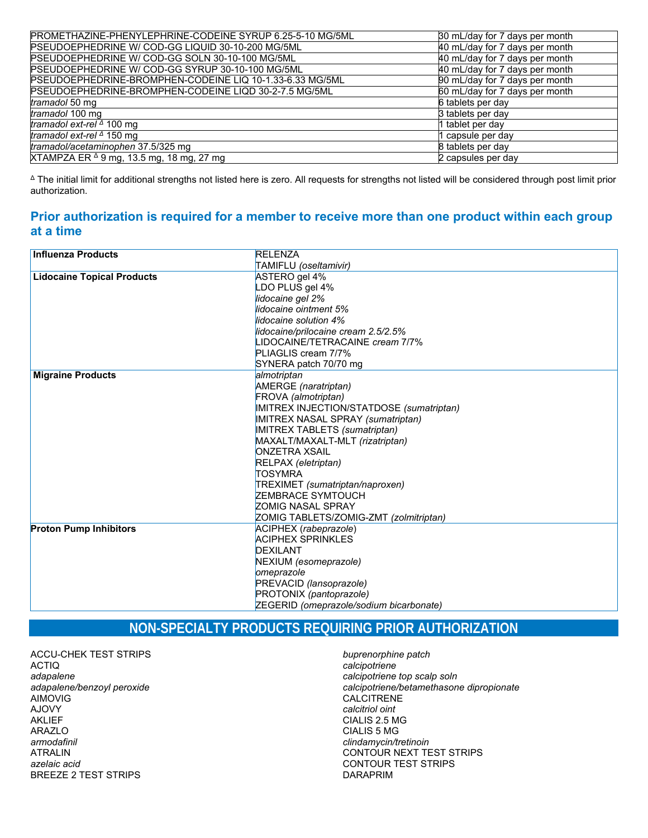| PROMETHAZINE-PHENYLEPHRINE-CODEINE SYRUP 6.25-5-10 MG/5ML | 30 mL/day for 7 days per month |
|-----------------------------------------------------------|--------------------------------|
| PSEUDOEPHEDRINE W/ COD-GG LIQUID 30-10-200 MG/5ML         | 40 mL/day for 7 days per month |
| PSEUDOEPHEDRINE W/ COD-GG SOLN 30-10-100 MG/5ML           | 40 mL/day for 7 days per month |
| PSEUDOEPHEDRINE W/ COD-GG SYRUP 30-10-100 MG/5ML          | 40 mL/day for 7 days per month |
| PSEUDOEPHEDRINE-BROMPHEN-CODEINE LIQ 10-1.33-6.33 MG/5ML  | 90 mL/day for 7 days per month |
| PSEUDOEPHEDRINE-BROMPHEN-CODEINE LIQD 30-2-7.5 MG/5ML     | 60 mL/day for 7 days per month |
| tramadol 50 mg                                            | 6 tablets per day              |
| tramadol 100 mg                                           | 3 tablets per day              |
| tramadol ext-rel $\triangle$ 100 mg                       | 1 tablet per day               |
| tramadol ext-rel $\triangle$ 150 mg                       | 1 capsule per day              |
| tramadol/acetaminophen 37.5/325 mg                        | 8 tablets per day              |
| XTAMPZA ER △ 9 mg, 13.5 mg, 18 mg, 27 mg                  | 2 capsules per day             |

Δ The initial limit for additional strengths not listed here is zero. All requests for strengths not listed will be considered through post limit prior authorization.

#### **Prior authorization is required for a member to receive more than one product within each group at a time**

| <b>Influenza Products</b>         | <b>RELENZA</b>                           |
|-----------------------------------|------------------------------------------|
|                                   | TAMIFLU (oseltamivir)                    |
| <b>Lidocaine Topical Products</b> | ASTERO gel 4%                            |
|                                   | LDO PLUS gel 4%                          |
|                                   | lidocaine gel 2%                         |
|                                   | lidocaine ointment 5%                    |
|                                   | lidocaine solution 4%                    |
|                                   | lidocaine/prilocaine cream 2.5/2.5%      |
|                                   | LIDOCAINE/TETRACAINE cream 7/7%          |
|                                   | PLIAGLIS cream 7/7%                      |
|                                   | SYNERA patch 70/70 mg                    |
| <b>Migraine Products</b>          | almotriptan                              |
|                                   | AMERGE (naratriptan)                     |
|                                   | FROVA (almotriptan)                      |
|                                   | IMITREX INJECTION/STATDOSE (sumatriptan) |
|                                   | IMITREX NASAL SPRAY (sumatriptan)        |
|                                   | IMITREX TABLETS (sumatriptan)            |
|                                   | MAXALT/MAXALT-MLT (rizatriptan)          |
|                                   | <b>ONZETRA XSAIL</b>                     |
|                                   | RELPAX (eletriptan)                      |
|                                   | <b>TOSYMRA</b>                           |
|                                   | TREXIMET (sumatriptan/naproxen)          |
|                                   | <b>ZEMBRACE SYMTOUCH</b>                 |
|                                   | <b>ZOMIG NASAL SPRAY</b>                 |
|                                   | ZOMIG TABLETS/ZOMIG-ZMT (zolmitriptan)   |
| <b>Proton Pump Inhibitors</b>     | ACIPHEX (rabeprazole)                    |
|                                   | <b>ACIPHEX SPRINKLES</b>                 |
|                                   | <b>DEXILANT</b>                          |
|                                   | NEXIUM (esomeprazole)                    |
|                                   | omeprazole                               |
|                                   | PREVACID (lansoprazole)                  |
|                                   | PROTONIX (pantoprazole)                  |
|                                   | ZEGERID (omeprazole/sodium bicarbonate)  |
|                                   |                                          |

# **NON-SPECIALTY PRODUCTS REQUIRING PRIOR AUTHORIZATION**

ACCU-CHEK TEST STRIPS ACTIQ *adapalene adapalene/benzoyl peroxide* AIMOVIG AJOVY AKLIEF ARAZLO *armodafinil* ATRALIN *azelaic acid* BREEZE 2 TEST STRIPS

*buprenorphine patch calcipotriene calcipotriene top scalp soln calcipotriene/betamethasone dipropionate* **CALCITRENE** *calcitriol oint* CIALIS 2.5 MG CIALIS 5 MG *clindamycin/tretinoin* CONTOUR NEXT TEST STRIPS CONTOUR TEST STRIPS DARAPRIM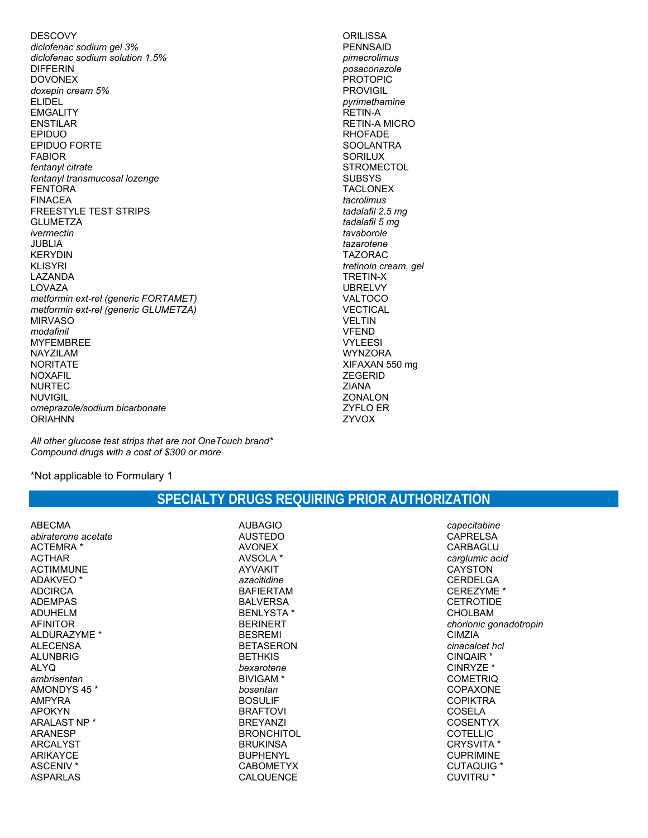**DESCOVY** diclofenac sodium gel 3% diclofenac sodium solution 1.5% **DIFFERIN DOVONEX** doxepin cream 5% **ELIDEL EMGALITY ENSTILAR** EPIDUO EPIDUO FORTE **FABIOR** fentanyl citrate fentanyl transmucosal lozenge **FENTORA FINACEA FREESTYLE TEST STRIPS GLUMETZA** ivermectin **JUBLIA KERYDIN KLISYRI** LAZANDA LOVAZA metformin ext-rel (generic FORTAMET) metformin ext-rel (generic GLUMETZA) **MIRVASO** modafinil **MYFEMBREE** NAYZILAM **NORITATE NOXAFII NURTEC NUVIGIL** omeprazole/sodium bicarbonate **ORIAHNN** 

**ORILISSA PENNSAID** pimecrolimus posaconazole **PROTOPIC PROVIGIL** pyrimethamine **RETIN-A RETIN-A MICRO RHOFADE SOOLANTRA SORILUX STROMECTOL SUBSYS TACLONEX** tacrolimus tadalafil 2.5 mg tadalafil 5 mg tavaborole tazarotene **TAZORAC** tretinoin cream, gel **TRETIN-X UBRELVY** VALTOCO **VECTICAL VELTIN VFEND VYLEESI WYNZORA** XIFAXAN 550 mg **ZEGERID ZIANA ZONALON ZYFLO ER** ZYVOX

All other glucose test strips that are not One Touch brand\* Compound drugs with a cost of \$300 or more

\*Not applicable to Formulary 1

| <b>ABECMA</b><br>abiraterone acetate<br>ACTEMRA *<br><b>ACTHAR</b><br><b>ACTIMMUNE</b><br>ADAKVEO <sup>*</sup><br><b>ADCIRCA</b><br><b>ADFMPAS</b><br>ADUHFLM<br><b>AFINITOR</b><br>AI DURAZYME *<br><b>ALECENSA</b><br>AI UNBRIG<br>AI YO<br>ambrisentan<br>AMONDYS 45 *<br>AMPYRA<br><b>APOKYN</b><br>ARAI AST NP *<br><b>ARANESP</b><br><b>ARCALYST</b><br><b>ARIKAYCE</b> | <b>AUBAGIO</b><br><b>AUSTEDO</b><br><b>AVONEX</b><br>AVSOLA *<br><b>AYVAKIT</b><br>azacitidine<br><b>BAFIFRTAM</b><br><b>BAI VERSA</b><br><b>BENLYSTA*</b><br><b>BERINERT</b><br><b>BESREMI</b><br><b>BETASERON</b><br><b>BETHKIS</b><br>bexarotene<br>BIVIGAM <sup>*</sup><br>bosentan<br><b>BOSULIF</b><br><b>BRAFTOVI</b><br><b>BRFYANZI</b><br><b>BRONCHITOL</b><br><b>BRUKINSA</b><br><b>BUPHENYL</b> |
|-------------------------------------------------------------------------------------------------------------------------------------------------------------------------------------------------------------------------------------------------------------------------------------------------------------------------------------------------------------------------------|------------------------------------------------------------------------------------------------------------------------------------------------------------------------------------------------------------------------------------------------------------------------------------------------------------------------------------------------------------------------------------------------------------|
| ASCENIV <sup>*</sup><br><b>ASPARLAS</b>                                                                                                                                                                                                                                                                                                                                       | <b>CABOMETYX</b><br><b>CALQUENCE</b>                                                                                                                                                                                                                                                                                                                                                                       |
|                                                                                                                                                                                                                                                                                                                                                                               |                                                                                                                                                                                                                                                                                                                                                                                                            |

## SPECIALTY DRUGS REQUIRING PRIOR AUTHORIZATION

capecitabine **CAPRELSA** CARBAGLU carglumic acid **CAYSTON CERDELGA** CEREZYME \* **CETROTIDE CHOLBAM** chorionic gonadotropin **CIMZIA** cinacalcet hcl CINQAIR \* CINRYZE \* **COMETRIQ** COPAXONE **COPIKTRA COSELA COSENTYX COTELLIC** CRYSVITA \* **CUPRIMINE CUTAQUIG \* CUVITRU \***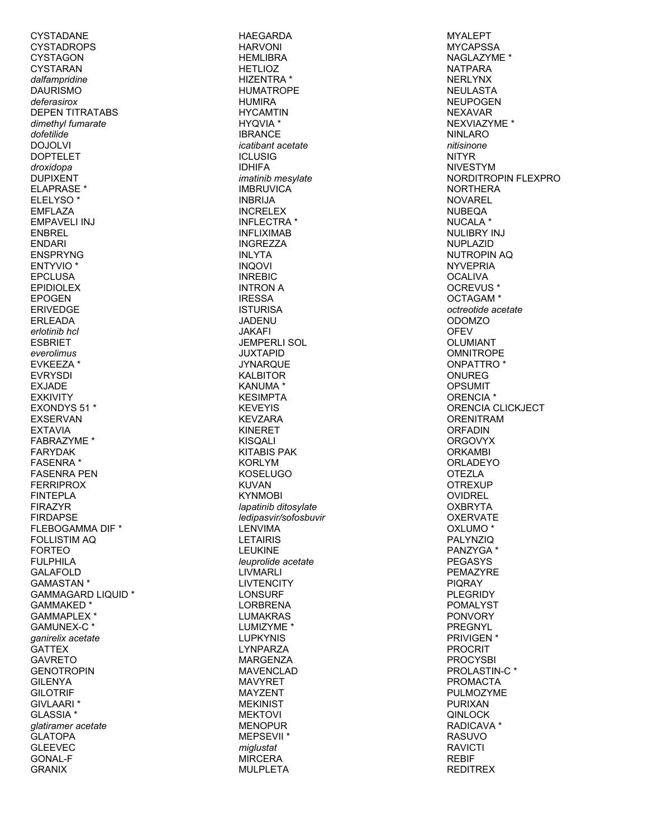CYSTADANE **CYSTADROPS CYSTAGON CYSTARAN** dalfampridine **DAURISMO** deferasirox **DEPEN TITRATABS** dimethyl fumarate dofetilide **DOJOLVI DOPTELET** droxidopa **DUPIXENT ELAPRASE**\* **ELELYSO\* EMFLAZA EMPAVELI INJ FNBRFI FNDARI ENSPRYNG ENTYVIO<sup>\*</sup> EPCLUSA EPIDIOLEX EPOGEN ERIVEDGE ERLEADA** erlotinib hcl **ESBRIET** everolimus EVKEEZA<sup>\*</sup> **FVRYSDI EXJADE EXKIVITY** EXONDYS 51 \* **EXSERVAN EXTAVIA FABRAZYME \* FARYDAK FASENRA**\* **FASENRA PEN FERRIPROX FINTEPLA FIRAZYR FIRDAPSE** FLEBOGAMMA DIF \* **FOLLISTIM AQ FORTFO FULPHILA GALAFOLD GAMASTAN \* GAMMAGARD LIQUID \*** GAMMAKED\* GAMMAPLEX \* GAMUNEX-C\* ganirelix acetate **GATTFX GAVRETO GENOTROPIN GILENYA GILOTRIF** GIVLAARI \* GLASSIA<sup>\*</sup> glatiramer acetate **GLATOPA GLEEVEC GONAL-F GRANIX** 

**HAEGARDA HARVONI HEMLIBRA HETLIOZ HIZENTRA\* HUMATROPE HUMIRA HYCAMTIN HYQVIA** \* **IBRANCE** icatibant acetate **ICLUSIG IDHIFA** *imatinib* mesvlate **IMBRUVICA INBRIJA INCRELEX INFLECTRA\* INFLIXIMAB INGREZZA INLYTA INQOVI INREBIC INTRON A IRESSA ISTURISA JADENU JAKAFI JEMPERLI SOL JUXTAPID JYNARQUE KAI BITOR KANUMA\* KESIMPTA KEVEYIS KEVZARA KINERET KISQALI KITABIS PAK KORLYM KOSELUGO KUVAN KYNMOBI** lapatinib ditosylate ledipasvir/sofosbuvir **LENVIMA LETAIRIS LEUKINE** leuprolide acetate **LIVMARLI LIVTENCITY LONSURF LORBRENA LUMAKRAS** LUMIZYME<sup>\*</sup> **LUPKYNIS** I YNPARZA **MARGENZA MAVENCLAD MAVYRET MAYZENT MEKINIST MEKTOVI MENOPUR MEPSEVII** \* miglustat **MIRCERA MULPLETA** 

**MYALEPT MYCAPSSA** NAGLAZYME \* **NATPARA NERLYNX NEULASTA NEUPOGEN NEXAVAR** NEXVIAZYME \* **NINLARO** nitisinone **NITYR NIVESTYM** NORDITROPIN FLEXPRO **NORTHERA NOVAREL NUBEOA** NUCALA<sup>3</sup> **NULIBRY INJ** NUPI AZID **NUTROPIN AQ NYVEPRIA OCALIVA** OCREVUS<sup>\*</sup> OCTAGAM<sup>\*</sup> octreotide acetate **ODOMZO OFEV OLUMIANT OMNITROPE** ONPATTRO<sup>\*</sup> ONURFG **OPSUMIT** ORENCIA<sup>\*</sup> ORENCIA CLICKJECT **ORENITRAM ORFADIN ORGOVYX ORKAMBI ORLADEYO OTEZLA OTREXUP OVIDREL OXBRYTA OXERVATE** OXLUMO<sup>\*</sup> PALYNZIO PANZYGA\* **PEGASYS** PEMAZYRE **PIQRAY PLEGRIDY POMALYST PONVORY PREGNYL** PRIVIGEN \* **PROCRIT PROCYSBI** PROLASTIN-C\* **PROMACTA** PULMOZYME **PURIXAN** QINLOCK RADICAVA \* **RASUVO RAVICTI REBIE REDITREX**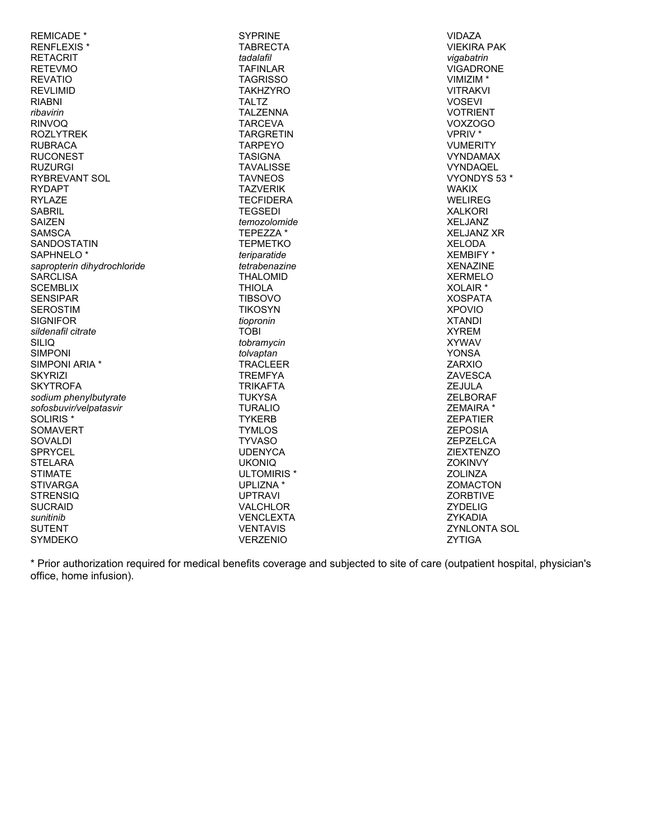| <b>REMICADE *</b>           | <b>SYPRINE</b>         | <b>VIDAZA</b>        |
|-----------------------------|------------------------|----------------------|
| <b>RENFLEXIS*</b>           | <b>TABRECTA</b>        | <b>VIEKIRA PAK</b>   |
|                             |                        |                      |
| <b>RETACRIT</b>             | tadalafil              | vigabatrin           |
| <b>RETEVMO</b>              | <b>TAFINLAR</b>        | <b>VIGADRONE</b>     |
| <b>REVATIO</b>              | <b>TAGRISSO</b>        | VIMIZIM <sup>*</sup> |
| <b>REVLIMID</b>             | <b>TAKHZYRO</b>        | <b>VITRAKVI</b>      |
|                             |                        |                      |
| <b>RIABNI</b>               | <b>TALTZ</b>           | <b>VOSEVI</b>        |
| ribavirin                   | <b>TALZENNA</b>        | <b>VOTRIENT</b>      |
| <b>RINVOQ</b>               | <b>TARCEVA</b>         | VOXZOGO              |
| <b>ROZLYTREK</b>            | <b>TARGRETIN</b>       | VPRIV <sup>*</sup>   |
| <b>RUBRACA</b>              | <b>TARPEYO</b>         | <b>VUMERITY</b>      |
|                             |                        |                      |
| <b>RUCONEST</b>             | <b>TASIGNA</b>         | <b>VYNDAMAX</b>      |
| <b>RUZURGI</b>              | <b>TAVALISSE</b>       | <b>VYNDAQEL</b>      |
| <b>RYBREVANT SOL</b>        | <b>TAVNEOS</b>         | VYONDYS 53 *         |
| <b>RYDAPT</b>               | <b>TAZVERIK</b>        | <b>WAKIX</b>         |
| <b>RYLAZE</b>               | <b>TECFIDERA</b>       | <b>WELIREG</b>       |
|                             |                        |                      |
| <b>SABRIL</b>               | <b>TEGSEDI</b>         | <b>XALKORI</b>       |
| <b>SAIZEN</b>               | temozolomide           | <b>XELJANZ</b>       |
| <b>SAMSCA</b>               | TEPEZZA *              | <b>XELJANZ XR</b>    |
| <b>SANDOSTATIN</b>          | <b>TEPMETKO</b>        | <b>XELODA</b>        |
| SAPHNELO <sup>*</sup>       | teriparatide           | <b>XEMBIFY*</b>      |
| sapropterin dihydrochloride | tetrabenazine          | <b>XENAZINE</b>      |
|                             |                        |                      |
| <b>SARCLISA</b>             | <b>THALOMID</b>        | <b>XERMELO</b>       |
| <b>SCEMBLIX</b>             | <b>THIOLA</b>          | XOLAIR <sup>*</sup>  |
| <b>SENSIPAR</b>             | <b>TIBSOVO</b>         | <b>XOSPATA</b>       |
| <b>SEROSTIM</b>             | <b>TIKOSYN</b>         | <b>XPOVIO</b>        |
| <b>SIGNIFOR</b>             | tiopronin              | <b>XTANDI</b>        |
| sildenafil citrate          | TOBI                   | <b>XYREM</b>         |
| SILIQ                       | tobramycin             | <b>XYWAV</b>         |
|                             |                        |                      |
| <b>SIMPONI</b>              | tolvaptan              | <b>YONSA</b>         |
| SIMPONI ARIA *              | <b>TRACLEER</b>        | <b>ZARXIO</b>        |
| <b>SKYRIZI</b>              | <b>TREMFYA</b>         | ZAVESCA              |
| <b>SKYTROFA</b>             | <b>TRIKAFTA</b>        | <b>ZEJULA</b>        |
| sodium phenylbutyrate       | <b>TUKYSA</b>          | <b>ZELBORAF</b>      |
| sofosbuvir/velpatasvir      | <b>TURALIO</b>         | ZEMAIRA *            |
| SOLIRIS <sup>*</sup>        |                        | <b>ZEPATIER</b>      |
|                             | <b>TYKERB</b>          |                      |
| <b>SOMAVERT</b>             | <b>TYMLOS</b>          | <b>ZEPOSIA</b>       |
| <b>SOVALDI</b>              | <b>TYVASO</b>          | ZEPZELCA             |
| <b>SPRYCEL</b>              | <b>UDENYCA</b>         | <b>ZIEXTENZO</b>     |
| <b>STELARA</b>              | <b>UKONIQ</b>          | <b>ZOKINVY</b>       |
| <b>STIMATE</b>              | ULTOMIRIS <sup>*</sup> | <b>ZOLINZA</b>       |
| <b>STIVARGA</b>             | UPLIZNA *              | <b>ZOMACTON</b>      |
|                             |                        |                      |
| <b>STRENSIQ</b>             | <b>UPTRAVI</b>         | <b>ZORBTIVE</b>      |
| <b>SUCRAID</b>              | <b>VALCHLOR</b>        | <b>ZYDELIG</b>       |
| sunitinib                   | <b>VENCLEXTA</b>       | <b>ZYKADIA</b>       |
| <b>SUTENT</b>               | <b>VENTAVIS</b>        | ZYNLONTA SOL         |
| <b>SYMDEKO</b>              | <b>VERZENIO</b>        | ZYTIGA               |

\* Prior authorization required for medical benefits coverage and subjected to site of care (outpatient hospital, physician's<br>office, home infusion).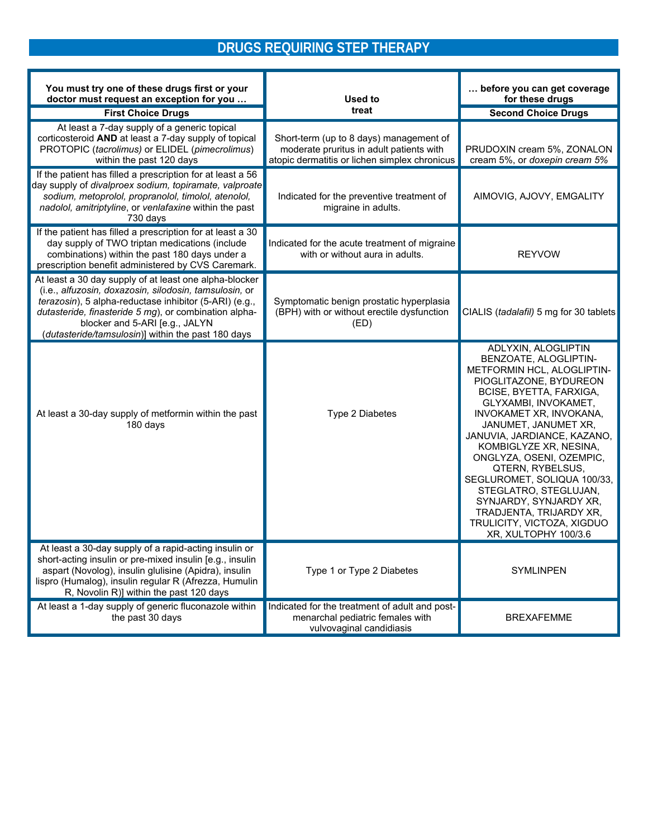# **DRUGS REQUIRING STEP THERAPY**

| You must try one of these drugs first or your<br>doctor must request an exception for you                                                                                                                                                                                                                                   | Used to                                                                                                                              | before you can get coverage<br>for these drugs                                                                                                                                                                                                                                                                                                                                                                                                                                         |
|-----------------------------------------------------------------------------------------------------------------------------------------------------------------------------------------------------------------------------------------------------------------------------------------------------------------------------|--------------------------------------------------------------------------------------------------------------------------------------|----------------------------------------------------------------------------------------------------------------------------------------------------------------------------------------------------------------------------------------------------------------------------------------------------------------------------------------------------------------------------------------------------------------------------------------------------------------------------------------|
| <b>First Choice Drugs</b>                                                                                                                                                                                                                                                                                                   | treat                                                                                                                                | <b>Second Choice Drugs</b>                                                                                                                                                                                                                                                                                                                                                                                                                                                             |
| At least a 7-day supply of a generic topical<br>corticosteroid AND at least a 7-day supply of topical<br>PROTOPIC (tacrolimus) or ELIDEL (pimecrolimus)<br>within the past 120 days                                                                                                                                         | Short-term (up to 8 days) management of<br>moderate pruritus in adult patients with<br>atopic dermatitis or lichen simplex chronicus | PRUDOXIN cream 5%, ZONALON<br>cream 5%, or doxepin cream 5%                                                                                                                                                                                                                                                                                                                                                                                                                            |
| If the patient has filled a prescription for at least a 56<br>day supply of divalproex sodium, topiramate, valproate<br>sodium, metoprolol, propranolol, timolol, atenolol,<br>nadolol, amitriptyline, or venlafaxine within the past<br>730 days                                                                           | Indicated for the preventive treatment of<br>migraine in adults.                                                                     | AIMOVIG, AJOVY, EMGALITY                                                                                                                                                                                                                                                                                                                                                                                                                                                               |
| If the patient has filled a prescription for at least a 30<br>day supply of TWO triptan medications (include<br>combinations) within the past 180 days under a<br>prescription benefit administered by CVS Caremark.                                                                                                        | Indicated for the acute treatment of migraine<br>with or without aura in adults.                                                     | <b>REYVOW</b>                                                                                                                                                                                                                                                                                                                                                                                                                                                                          |
| At least a 30 day supply of at least one alpha-blocker<br>(i.e., alfuzosin, doxazosin, silodosin, tamsulosin, or<br>terazosin), 5 alpha-reductase inhibitor (5-ARI) (e.g.,<br>dutasteride, finasteride 5 mg), or combination alpha-<br>blocker and 5-ARI [e.g., JALYN<br>(dutasteride/tamsulosin)] within the past 180 days | Symptomatic benign prostatic hyperplasia<br>(BPH) with or without erectile dysfunction<br>(ED)                                       | CIALIS (tadalafil) 5 mg for 30 tablets                                                                                                                                                                                                                                                                                                                                                                                                                                                 |
| At least a 30-day supply of metformin within the past<br>180 days                                                                                                                                                                                                                                                           | Type 2 Diabetes                                                                                                                      | ADLYXIN, ALOGLIPTIN<br>BENZOATE, ALOGLIPTIN-<br>METFORMIN HCL, ALOGLIPTIN-<br>PIOGLITAZONE, BYDUREON<br>BCISE, BYETTA, FARXIGA,<br>GLYXAMBI, INVOKAMET,<br>INVOKAMET XR, INVOKANA,<br>JANUMET, JANUMET XR,<br>JANUVIA, JARDIANCE, KAZANO,<br>KOMBIGLYZE XR, NESINA,<br>ONGLYZA, OSENI, OZEMPIC,<br>QTERN, RYBELSUS,<br>SEGLUROMET, SOLIQUA 100/33,<br>STEGLATRO, STEGLUJAN,<br>SYNJARDY, SYNJARDY XR,<br>TRADJENTA, TRIJARDY XR,<br>TRULICITY, VICTOZA, XIGDUO<br>XR, XULTOPHY 100/3.6 |
| At least a 30-day supply of a rapid-acting insulin or<br>short-acting insulin or pre-mixed insulin [e.g., insulin<br>aspart (Novolog), insulin glulisine (Apidra), insulin<br>lispro (Humalog), insulin regular R (Afrezza, Humulin<br>R, Novolin R)] within the past 120 days                                              | Type 1 or Type 2 Diabetes                                                                                                            | <b>SYMLINPEN</b>                                                                                                                                                                                                                                                                                                                                                                                                                                                                       |
| At least a 1-day supply of generic fluconazole within<br>the past 30 days                                                                                                                                                                                                                                                   | Indicated for the treatment of adult and post-<br>menarchal pediatric females with<br>vulvovaginal candidiasis                       | <b>BREXAFEMME</b>                                                                                                                                                                                                                                                                                                                                                                                                                                                                      |